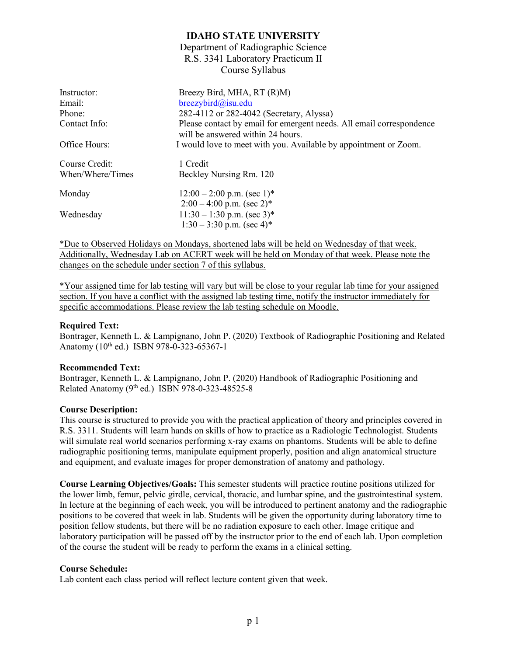### **IDAHO STATE UNIVERSITY**

### Department of Radiographic Science R.S. 3341 Laboratory Practicum II Course Syllabus

| Instructor:      | Breezy Bird, MHA, RT (R)M)                                                                                |
|------------------|-----------------------------------------------------------------------------------------------------------|
| Email:           | $breezybird@$ isu.edu                                                                                     |
| Phone:           | 282-4112 or 282-4042 (Secretary, Alyssa)                                                                  |
| Contact Info:    | Please contact by email for emergent needs. All email correspondence<br>will be answered within 24 hours. |
| Office Hours:    | I would love to meet with you. Available by appointment or Zoom.                                          |
| Course Credit:   | 1 Credit                                                                                                  |
| When/Where/Times | Beckley Nursing Rm. 120                                                                                   |
| Monday           | $12:00 - 2:00$ p.m. (sec 1) <sup>*</sup>                                                                  |
|                  | $2:00-4:00$ p.m. (sec 2) <sup>*</sup>                                                                     |
| Wednesday        | $11:30 - 1:30$ p.m. (sec 3)*                                                                              |
|                  | $1:30-3:30$ p.m. (sec 4)*                                                                                 |

\*Due to Observed Holidays on Mondays, shortened labs will be held on Wednesday of that week. Additionally, Wednesday Lab on ACERT week will be held on Monday of that week. Please note the changes on the schedule under section 7 of this syllabus.

\*Your assigned time for lab testing will vary but will be close to your regular lab time for your assigned section. If you have a conflict with the assigned lab testing time, notify the instructor immediately for specific accommodations. Please review the lab testing schedule on Moodle.

### **Required Text:**

Bontrager, Kenneth L. & Lampignano, John P. (2020) Textbook of Radiographic Positioning and Related Anatomy (10<sup>th</sup> ed.) ISBN 978-0-323-65367-1

#### **Recommended Text:**

Bontrager, Kenneth L. & Lampignano, John P. (2020) Handbook of Radiographic Positioning and Related Anatomy ( $9<sup>th</sup>$  ed.) ISBN 978-0-323-48525-8

#### **Course Description:**

This course is structured to provide you with the practical application of theory and principles covered in R.S. 3311. Students will learn hands on skills of how to practice as a Radiologic Technologist. Students will simulate real world scenarios performing x-ray exams on phantoms. Students will be able to define radiographic positioning terms, manipulate equipment properly, position and align anatomical structure and equipment, and evaluate images for proper demonstration of anatomy and pathology.

**Course Learning Objectives/Goals:** This semester students will practice routine positions utilized for the lower limb, femur, pelvic girdle, cervical, thoracic, and lumbar spine, and the gastrointestinal system. In lecture at the beginning of each week, you will be introduced to pertinent anatomy and the radiographic positions to be covered that week in lab. Students will be given the opportunity during laboratory time to position fellow students, but there will be no radiation exposure to each other. Image critique and laboratory participation will be passed off by the instructor prior to the end of each lab. Upon completion of the course the student will be ready to perform the exams in a clinical setting.

#### **Course Schedule:**

Lab content each class period will reflect lecture content given that week.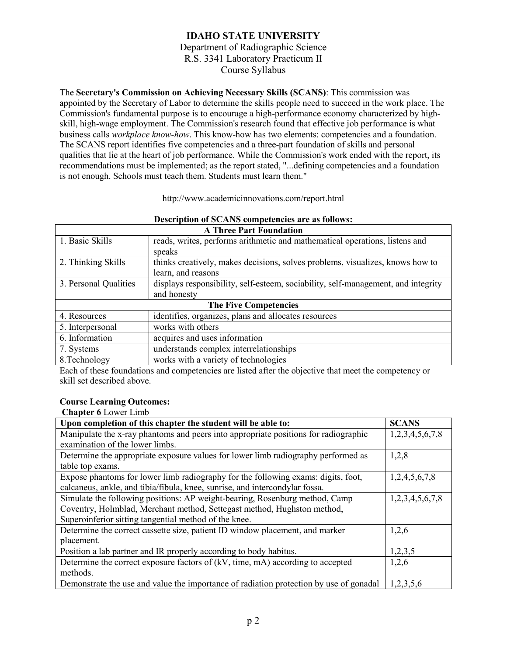The **Secretary's Commission on Achieving Necessary Skills (SCANS)**: This commission was appointed by the Secretary of Labor to determine the skills people need to succeed in the work place. The Commission's fundamental purpose is to encourage a high-performance economy characterized by highskill, high-wage employment. The Commission's research found that effective job performance is what business calls *workplace know-how*. This know-how has two elements: competencies and a foundation. The SCANS report identifies five competencies and a three-part foundation of skills and personal qualities that lie at the heart of job performance. While the Commission's work ended with the report, its recommendations must be implemented; as the report stated, "...defining competencies and a foundation is not enough. Schools must teach them. Students must learn them."

http://www.academicinnovations.com/report.html

| <b>A Three Part Foundation</b> |                                                                                   |  |  |
|--------------------------------|-----------------------------------------------------------------------------------|--|--|
| 1. Basic Skills                | reads, writes, performs arithmetic and mathematical operations, listens and       |  |  |
|                                | speaks                                                                            |  |  |
| 2. Thinking Skills             | thinks creatively, makes decisions, solves problems, visualizes, knows how to     |  |  |
|                                | learn, and reasons                                                                |  |  |
| 3. Personal Qualities          | displays responsibility, self-esteem, sociability, self-management, and integrity |  |  |
|                                | and honesty                                                                       |  |  |
| <b>The Five Competencies</b>   |                                                                                   |  |  |
| 4. Resources                   | identifies, organizes, plans and allocates resources                              |  |  |
| 5. Interpersonal               | works with others                                                                 |  |  |
| 6. Information                 | acquires and uses information                                                     |  |  |
| 7. Systems                     | understands complex interrelationships                                            |  |  |
| 8. Technology                  | works with a variety of technologies                                              |  |  |

# **Description of SCANS competencies are as follows:**

Each of these foundations and competencies are listed after the objective that meet the competency or skill set described above.

#### **Course Learning Outcomes:**

**Chapter 6** Lower Limb

| Upon completion of this chapter the student will be able to:                           | <b>SCANS</b>    |
|----------------------------------------------------------------------------------------|-----------------|
| Manipulate the x-ray phantoms and peers into appropriate positions for radiographic    | 1,2,3,4,5,6,7,8 |
| examination of the lower limbs.                                                        |                 |
| Determine the appropriate exposure values for lower limb radiography performed as      | 1,2,8           |
| table top exams.                                                                       |                 |
| Expose phantoms for lower limb radiography for the following exams: digits, foot,      | 1,2,4,5,6,7,8   |
| calcaneus, ankle, and tibia/fibula, knee, sunrise, and intercondylar fossa.            |                 |
| Simulate the following positions: AP weight-bearing, Rosenburg method, Camp            | 1,2,3,4,5,6,7,8 |
| Coventry, Holmblad, Merchant method, Settegast method, Hughston method,                |                 |
| Superoinferior sitting tangential method of the knee.                                  |                 |
| Determine the correct cassette size, patient ID window placement, and marker           | 1,2,6           |
| placement.                                                                             |                 |
| Position a lab partner and IR properly according to body habitus.                      | 1,2,3,5         |
| Determine the correct exposure factors of (kV, time, mA) according to accepted         | 1,2,6           |
| methods.                                                                               |                 |
| Demonstrate the use and value the importance of radiation protection by use of gonadal | 1,2,3,5,6       |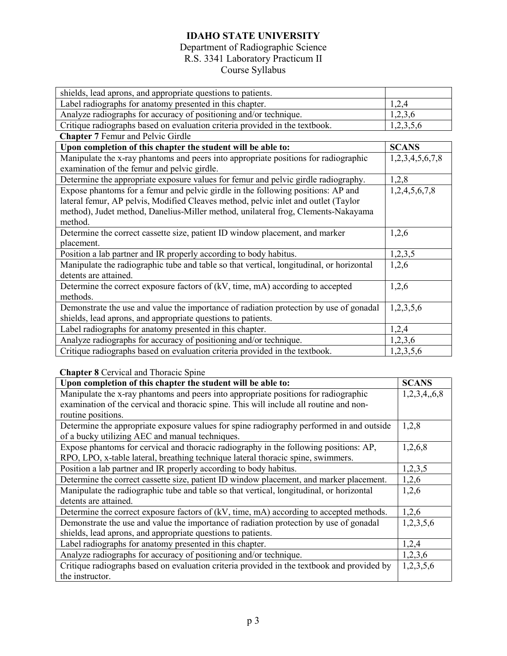# **IDAHO STATE UNIVERSITY**

## Department of Radiographic Science R.S. 3341 Laboratory Practicum II Course Syllabus

| shields, lead aprons, and appropriate questions to patients.                             |                 |
|------------------------------------------------------------------------------------------|-----------------|
| Label radiographs for anatomy presented in this chapter.                                 | 1,2,4           |
| Analyze radiographs for accuracy of positioning and/or technique.                        | 1,2,3,6         |
| Critique radiographs based on evaluation criteria provided in the textbook.              | 1,2,3,5,6       |
| <b>Chapter 7 Femur and Pelvic Girdle</b>                                                 |                 |
| Upon completion of this chapter the student will be able to:                             | <b>SCANS</b>    |
| Manipulate the x-ray phantoms and peers into appropriate positions for radiographic      | 1,2,3,4,5,6,7,8 |
| examination of the femur and pelvic girdle.                                              |                 |
| Determine the appropriate exposure values for femur and pelvic girdle radiography.       | 1,2,8           |
| Expose phantoms for a femur and pelvic girdle in the following positions: AP and         | 1,2,4,5,6,7,8   |
| lateral femur, AP pelvis, Modified Cleaves method, pelvic inlet and outlet (Taylor       |                 |
| method), Judet method, Danelius-Miller method, unilateral frog, Clements-Nakayama        |                 |
| method.                                                                                  |                 |
| Determine the correct cassette size, patient ID window placement, and marker             | 1,2,6           |
| placement.                                                                               |                 |
| Position a lab partner and IR properly according to body habitus.                        | 1,2,3,5         |
| Manipulate the radiographic tube and table so that vertical, longitudinal, or horizontal | 1,2,6           |
| detents are attained.                                                                    |                 |
| Determine the correct exposure factors of (kV, time, mA) according to accepted           | 1,2,6           |
| methods.                                                                                 |                 |
| Demonstrate the use and value the importance of radiation protection by use of gonadal   | 1,2,3,5,6       |
| shields, lead aprons, and appropriate questions to patients.                             |                 |
| Label radiographs for anatomy presented in this chapter.                                 | 1,2,4           |
| Analyze radiographs for accuracy of positioning and/or technique.                        | 1,2,3,6         |
| Critique radiographs based on evaluation criteria provided in the textbook.              | 1,2,3,5,6       |

### **Chapter 8** Cervical and Thoracic Spine

| Upon completion of this chapter the student will be able to:                               |             |  |
|--------------------------------------------------------------------------------------------|-------------|--|
| Manipulate the x-ray phantoms and peers into appropriate positions for radiographic        | 1,2,3,4,6,8 |  |
| examination of the cervical and thoracic spine. This will include all routine and non-     |             |  |
| routine positions.                                                                         |             |  |
| Determine the appropriate exposure values for spine radiography performed in and outside   | 1,2,8       |  |
| of a bucky utilizing AEC and manual techniques.                                            |             |  |
| Expose phantoms for cervical and thoracic radiography in the following positions: AP,      | 1,2,6,8     |  |
| RPO, LPO, x-table lateral, breathing technique lateral thoracic spine, swimmers.           |             |  |
| Position a lab partner and IR properly according to body habitus.                          | 1,2,3,5     |  |
| Determine the correct cassette size, patient ID window placement, and marker placement.    | 1,2,6       |  |
| Manipulate the radiographic tube and table so that vertical, longitudinal, or horizontal   | 1,2,6       |  |
| detents are attained.                                                                      |             |  |
| Determine the correct exposure factors of (kV, time, mA) according to accepted methods.    | 1,2,6       |  |
| Demonstrate the use and value the importance of radiation protection by use of gonadal     | 1,2,3,5,6   |  |
| shields, lead aprons, and appropriate questions to patients.                               |             |  |
| Label radiographs for anatomy presented in this chapter.                                   | 1,2,4       |  |
| Analyze radiographs for accuracy of positioning and/or technique.                          | 1,2,3,6     |  |
| Critique radiographs based on evaluation criteria provided in the textbook and provided by | 1,2,3,5,6   |  |
| the instructor.                                                                            |             |  |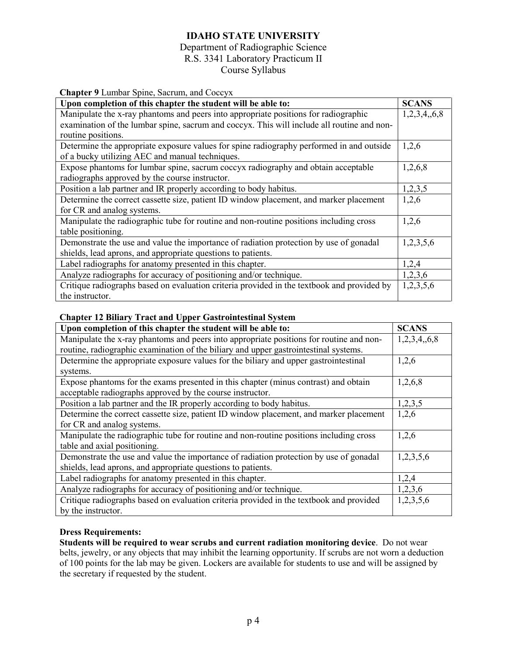# **IDAHO STATE UNIVERSITY**

### Department of Radiographic Science R.S. 3341 Laboratory Practicum II Course Syllabus

| Chapter 9 Lumbar Spine, Sacrum, and Coccyx                                                 |              |  |
|--------------------------------------------------------------------------------------------|--------------|--|
| Upon completion of this chapter the student will be able to:                               | <b>SCANS</b> |  |
| Manipulate the x-ray phantoms and peers into appropriate positions for radiographic        |              |  |
| examination of the lumbar spine, sacrum and coccyx. This will include all routine and non- |              |  |
| routine positions.                                                                         |              |  |
| Determine the appropriate exposure values for spine radiography performed in and outside   | 1,2,6        |  |
| of a bucky utilizing AEC and manual techniques.                                            |              |  |
| Expose phantoms for lumbar spine, sacrum coccyx radiography and obtain acceptable          | 1,2,6,8      |  |
| radiographs approved by the course instructor.                                             |              |  |
| Position a lab partner and IR properly according to body habitus.                          | 1,2,3,5      |  |
| Determine the correct cassette size, patient ID window placement, and marker placement     |              |  |
| for CR and analog systems.                                                                 |              |  |
| Manipulate the radiographic tube for routine and non-routine positions including cross     |              |  |
| table positioning.                                                                         |              |  |
| Demonstrate the use and value the importance of radiation protection by use of gonadal     | 1,2,3,5,6    |  |
| shields, lead aprons, and appropriate questions to patients.                               |              |  |
| Label radiographs for anatomy presented in this chapter.                                   | 1,2,4        |  |
| Analyze radiographs for accuracy of positioning and/or technique.                          |              |  |
| Critique radiographs based on evaluation criteria provided in the textbook and provided by |              |  |
| the instructor.                                                                            |              |  |

### **Chapter 12 Biliary Tract and Upper Gastrointestinal System**

| Upon completion of this chapter the student will be able to:                            | <b>SCANS</b> |
|-----------------------------------------------------------------------------------------|--------------|
| Manipulate the x-ray phantoms and peers into appropriate positions for routine and non- | 1,2,3,4,6,8  |
| routine, radiographic examination of the biliary and upper gastrointestinal systems.    |              |
| Determine the appropriate exposure values for the biliary and upper gastrointestinal    | 1,2,6        |
| systems.                                                                                |              |
| Expose phantoms for the exams presented in this chapter (minus contrast) and obtain     | 1,2,6,8      |
| acceptable radiographs approved by the course instructor.                               |              |
| Position a lab partner and the IR properly according to body habitus.                   | 1,2,3,5      |
| Determine the correct cassette size, patient ID window placement, and marker placement  | 1,2,6        |
| for CR and analog systems.                                                              |              |
| Manipulate the radiographic tube for routine and non-routine positions including cross  | 1,2,6        |
| table and axial positioning.                                                            |              |
| Demonstrate the use and value the importance of radiation protection by use of gonadal  | 1,2,3,5,6    |
| shields, lead aprons, and appropriate questions to patients.                            |              |
| Label radiographs for anatomy presented in this chapter.                                | 1,2,4        |
| Analyze radiographs for accuracy of positioning and/or technique.                       | 1,2,3,6      |
| Critique radiographs based on evaluation criteria provided in the textbook and provided | 1,2,3,5,6    |
| by the instructor.                                                                      |              |

### **Dress Requirements:**

**Students will be required to wear scrubs and current radiation monitoring device**. Do not wear belts, jewelry, or any objects that may inhibit the learning opportunity. If scrubs are not worn a deduction of 100 points for the lab may be given. Lockers are available for students to use and will be assigned by the secretary if requested by the student.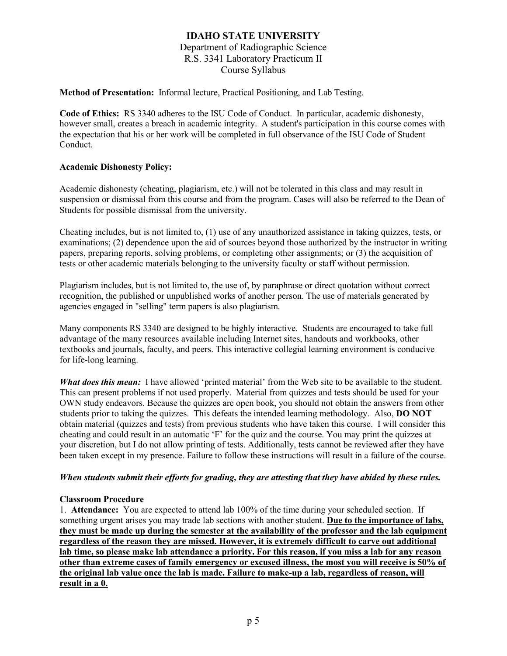#### **Method of Presentation:** Informal lecture, Practical Positioning, and Lab Testing.

**Code of Ethics:** RS 3340 adheres to the ISU Code of Conduct. In particular, academic dishonesty, however small, creates a breach in academic integrity. A student's participation in this course comes with the expectation that his or her work will be completed in full observance of the ISU Code of Student Conduct.

#### **Academic Dishonesty Policy:**

Academic dishonesty (cheating, plagiarism, etc.) will not be tolerated in this class and may result in suspension or dismissal from this course and from the program. Cases will also be referred to the Dean of Students for possible dismissal from the university.

Cheating includes, but is not limited to, (1) use of any unauthorized assistance in taking quizzes, tests, or examinations; (2) dependence upon the aid of sources beyond those authorized by the instructor in writing papers, preparing reports, solving problems, or completing other assignments; or (3) the acquisition of tests or other academic materials belonging to the university faculty or staff without permission.

Plagiarism includes, but is not limited to, the use of, by paraphrase or direct quotation without correct recognition, the published or unpublished works of another person. The use of materials generated by agencies engaged in "selling" term papers is also plagiarism.

Many components RS 3340 are designed to be highly interactive. Students are encouraged to take full advantage of the many resources available including Internet sites, handouts and workbooks, other textbooks and journals, faculty, and peers. This interactive collegial learning environment is conducive for life-long learning.

*What does this mean:* I have allowed 'printed material' from the Web site to be available to the student. This can present problems if not used properly. Material from quizzes and tests should be used for your OWN study endeavors. Because the quizzes are open book, you should not obtain the answers from other students prior to taking the quizzes. This defeats the intended learning methodology. Also, **DO NOT**  obtain material (quizzes and tests) from previous students who have taken this course. I will consider this cheating and could result in an automatic 'F' for the quiz and the course. You may print the quizzes at your discretion, but I do not allow printing of tests. Additionally, tests cannot be reviewed after they have been taken except in my presence. Failure to follow these instructions will result in a failure of the course.

#### *When students submit their efforts for grading, they are attesting that they have abided by these rules.*

#### **Classroom Procedure**

1. **Attendance:** You are expected to attend lab 100% of the time during your scheduled section. If something urgent arises you may trade lab sections with another student. **Due to the importance of labs, they must be made up during the semester at the availability of the professor and the lab equipment regardless of the reason they are missed. However, it is extremely difficult to carve out additional lab time, so please make lab attendance a priority. For this reason, if you miss a lab for any reason other than extreme cases of family emergency or excused illness, the most you will receive is 50% of the original lab value once the lab is made. Failure to make-up a lab, regardless of reason, will result in a 0.**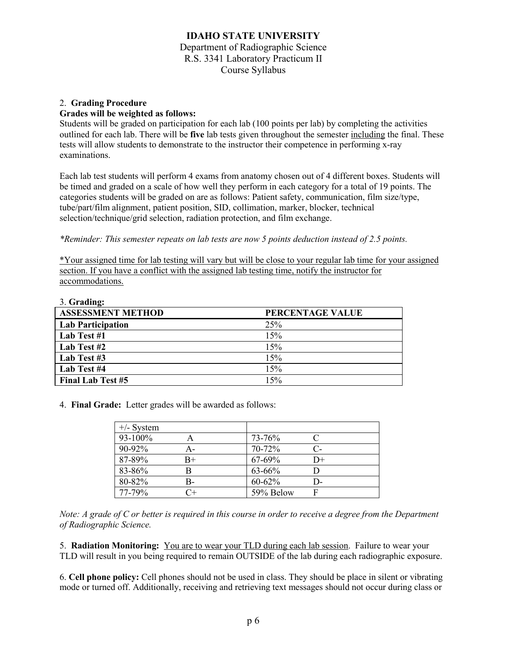# 2. **Grading Procedure**

#### **Grades will be weighted as follows:**

Students will be graded on participation for each lab (100 points per lab) by completing the activities outlined for each lab. There will be **five** lab tests given throughout the semester including the final. These tests will allow students to demonstrate to the instructor their competence in performing x-ray examinations.

Each lab test students will perform 4 exams from anatomy chosen out of 4 different boxes. Students will be timed and graded on a scale of how well they perform in each category for a total of 19 points. The categories students will be graded on are as follows: Patient safety, communication, film size/type, tube/part/film alignment, patient position, SID, collimation, marker, blocker, technical selection/technique/grid selection, radiation protection, and film exchange.

#### *\*Reminder: This semester repeats on lab tests are now 5 points deduction instead of 2.5 points.*

\*Your assigned time for lab testing will vary but will be close to your regular lab time for your assigned section. If you have a conflict with the assigned lab testing time, notify the instructor for accommodations.

| 3. Grading:              |                  |
|--------------------------|------------------|
| <b>ASSESSMENT METHOD</b> | PERCENTAGE VALUE |
| <b>Lab Participation</b> | 25%              |
| Lab Test #1              | 15%              |
| Lab Test #2              | 15%              |
| Lab Test #3              | 15%              |
| Lab Test #4              | 15%              |
| <b>Final Lab Test #5</b> | 15%              |

4. **Final Grade:** Letter grades will be awarded as follows:

| $+/-$ System |             |           |    |  |
|--------------|-------------|-----------|----|--|
| 93-100%      |             | 73-76%    |    |  |
| 90-92%       | А-          | 70-72%    | C- |  |
| 87-89%       | $_{\rm B+}$ | 67-69%    | D+ |  |
| 83-86%       |             | 63-66%    |    |  |
| 80-82%       | B-          | 60-62%    | D- |  |
| 77-79%       | $C +$       | 59% Below |    |  |

*Note: A grade of C or better is required in this course in order to receive a degree from the Department of Radiographic Science.*

5. **Radiation Monitoring:** You are to wear your TLD during each lab session. Failure to wear your TLD will result in you being required to remain OUTSIDE of the lab during each radiographic exposure.

6. **Cell phone policy:** Cell phones should not be used in class. They should be place in silent or vibrating mode or turned off. Additionally, receiving and retrieving text messages should not occur during class or